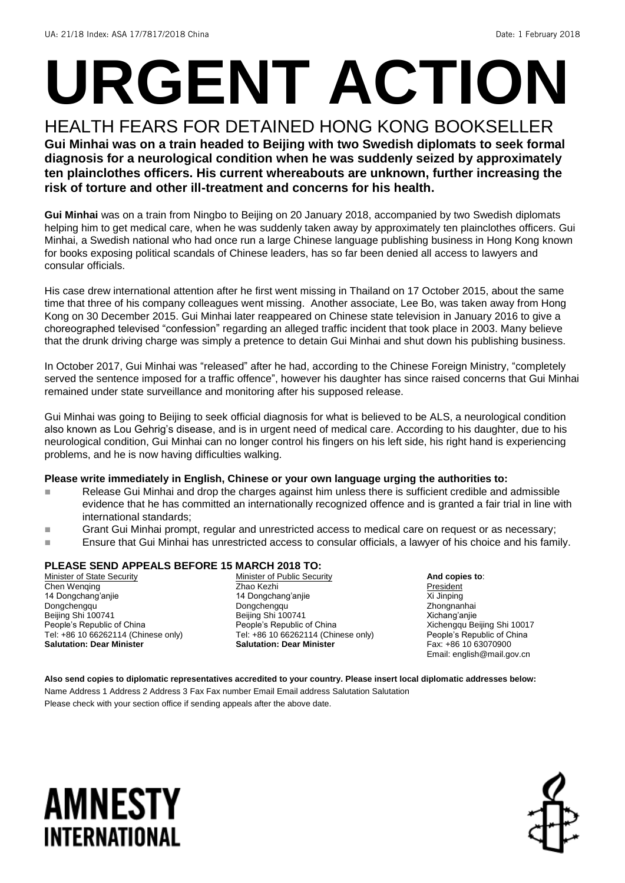# **URGENT ACTION**

HEALTH FEARS FOR DETAINED HONG KONG BOOKSELLER **Gui Minhai was on a train headed to Beijing with two Swedish diplomats to seek formal diagnosis for a neurological condition when he was suddenly seized by approximately ten plainclothes officers. His current whereabouts are unknown, further increasing the risk of torture and other ill-treatment and concerns for his health.**

**Gui Minhai** was on a train from Ningbo to Beijing on 20 January 2018, accompanied by two Swedish diplomats helping him to get medical care, when he was suddenly taken away by approximately ten plainclothes officers. Gui Minhai, a Swedish national who had once run a large Chinese language publishing business in Hong Kong known for books exposing political scandals of Chinese leaders, has so far been denied all access to lawyers and consular officials.

His case drew international attention after he first went missing in Thailand on 17 October 2015, about the same time that three of his company colleagues went missing. Another associate, Lee Bo, was taken away from Hong Kong on 30 December 2015. Gui Minhai later reappeared on Chinese state television in January 2016 to give a choreographed televised "confession" regarding an alleged traffic incident that took place in 2003. Many believe that the drunk driving charge was simply a pretence to detain Gui Minhai and shut down his publishing business.

In October 2017, Gui Minhai was "released" after he had, according to the Chinese Foreign Ministry, "completely served the sentence imposed for a traffic offence", however his daughter has since raised concerns that Gui Minhai remained under state surveillance and monitoring after his supposed release.

Gui Minhai was going to Beijing to seek official diagnosis for what is believed to be ALS, a neurological condition also known as Lou Gehrig's disease, and is in urgent need of medical care. According to his daughter, due to his neurological condition, Gui Minhai can no longer control his fingers on his left side, his right hand is experiencing problems, and he is now having difficulties walking.

### **Please write immediately in English, Chinese or your own language urging the authorities to:**

- Release Gui Minhai and drop the charges against him unless there is sufficient credible and admissible evidence that he has committed an internationally recognized offence and is granted a fair trial in line with international standards;
- **Grant Gui Minhai prompt, regular and unrestricted access to medical care on request or as necessary;**
- Ensure that Gui Minhai has unrestricted access to consular officials, a lawyer of his choice and his family.

### **PLEASE SEND APPEALS BEFORE 15 MARCH 2018 TO:**

**Minister of State Security** Chen Wenqing 14 Dongchang'anjie Dongchengqu Beijing Shi 100741 People's Republic of China Tel: +86 10 66262114 (Chinese only) **Salutation: Dear Minister**

Minister of Public Security Zhao Kezhi 14 Dongchang'anjie Dongchengqu Beijing Shi 100741 People's Republic of China Tel: +86 10 66262114 (Chinese only) **Salutation: Dear Minister**

**And copies to**: President Xi Jinping Zhongnanhai Xichang'anjie Xichengqu Beijing Shi 10017 People's Republic of China Fax: +86 10 63070900 Email: english@mail.gov.cn

**Also send copies to diplomatic representatives accredited to your country. Please insert local diplomatic addresses below:** Name Address 1 Address 2 Address 3 Fax Fax number Email Email address Salutation Salutation Please check with your section office if sending appeals after the above date.